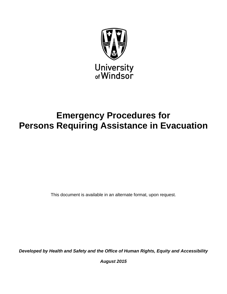

# **Emergency Procedures for Persons Requiring Assistance in Evacuation**

This document is available in an alternate format, upon request.

*Developed by Health and Safety and the Office of Human Rights, Equity and Accessibility*

*August 2015*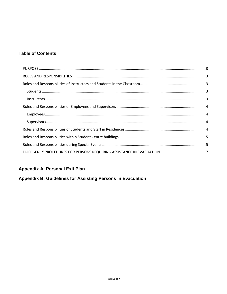# **Table of Contents**

# **Appendix A: Personal Exit Plan**

# Appendix B: Guidelines for Assisting Persons in Evacuation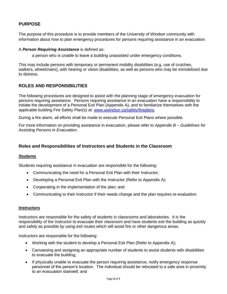# <span id="page-2-0"></span>**PURPOSE**

The purpose of this procedure is to provide members of the University of Windsor community with information about how to plan emergency procedures for persons requiring assistance in an evacuation.

#### A *Person Requiring Assistance* is defined as:

a person who is unable to leave a building unassisted under emergency conditions.

This may include persons with temporary or permanent mobility disabilities (e.g. use of crutches, walkers, wheelchairs), with hearing or vision disabilities, as well as persons who may be immobilized due to distress.

# <span id="page-2-1"></span>**ROLES AND RESPONSIBILITIES**

The following procedures are designed to assist with the planning stage of emergency evacuation for persons requiring assistance. Persons requiring assistance in an evacuation have a responsibility to initiate the development of a Personal Exit Plan (Appendix A), and to familiarize themselves with the applicable building Fire Safety Plan(s) at: [www.uwindsor.ca/safety/fireplans.](http://www.uwindsor.ca/safety/fireplans)

During a fire alarm, all efforts shall be made to execute Personal Exit Plans where possible.

For more information on providing assistance in evacuation, please refer to *Appendix B – Guidelines for Assisting Persons in Evacuation.*

# <span id="page-2-2"></span>**Roles and Responsibilities of Instructors and Students in the Classroom**

## <span id="page-2-3"></span>**Students**

Students requiring assistance in evacuation are responsible for the following:

- Communicating the need for a Personal Exit Plan with their Instructor;
- Developing a Personal Exit Plan with the Instructor (Refer to Appendix A);
- Cooperating in the implementation of the plan; and
- Communicating to their Instructor if their needs change and the plan requires re-evaluation.

#### <span id="page-2-4"></span>**Instructors**

Instructors are responsible for the safety of students in classrooms and laboratories. It is the responsibility of the Instructor to evacuate their classroom and have students exit the building as quickly and safely as possible by using exit routes which will avoid fire or other dangerous areas.

Instructors are responsible for the following:

- Working with the student to develop a Personal Exit Plan (Refer to Appendix A);
- Canvassing and assigning an appropriate number of students to assist students with disabilities to evacuate the building;
- If physically unable to evacuate the person requiring assistance, notify emergency response personnel of the person's location. The individual should be relocated to a safe area in proximity to an evacuation stairwell; and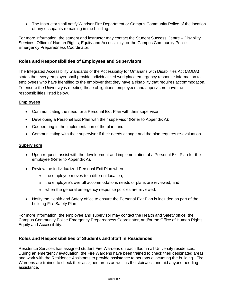The Instructor shall notify Windsor Fire Department or Campus Community Police of the location of any occupants remaining in the building.

For more information, the student and instructor may contact the Student Success Centre – Disability Services; Office of Human Rights, Equity and Accessibility; or the Campus Community Police Emergency Preparedness Coordinator.

# <span id="page-3-0"></span>**Roles and Responsibilities of Employees and Supervisors**

The Integrated Accessibility Standards of the Accessibility for Ontarians with Disabilities Act (AODA) states that every employer shall provide individualized workplace emergency response information to employees who have identified to the employer that they have a disability that requires accommodation. To ensure the University is meeting these obligations, employees and supervisors have the responsibilities listed below.

# <span id="page-3-1"></span>**Employees**

- Communicating the need for a Personal Exit Plan with their supervisor;
- Developing a Personal Exit Plan with their supervisor (Refer to Appendix A);
- Cooperating in the implementation of the plan; and
- Communicating with their supervisor if their needs change and the plan requires re-evaluation.

### <span id="page-3-2"></span>**Supervisors**

- Upon request, assist with the development and implementation of a Personal Exit Plan for the employee (Refer to Appendix A).
- Review the individualized Personal Exit Plan when:
	- o the employee moves to a different location;
	- $\circ$  the employee's overall accommodations needs or plans are reviewed; and
	- o when the general emergency response policies are reviewed.
- Notify the Health and Safety office to ensure the Personal Exit Plan is included as part of the building Fire Safety Plan

For more information, the employee and supervisor may contact the Health and Safety office, the Campus Community Police Emergency Preparedness Coordinator, and/or the Office of Human Rights, Equity and Accessibility.

# <span id="page-3-3"></span>**Roles and Responsibilities of Students and Staff in Residences**

Residence Services has assigned student Fire Wardens on each floor in all University residences. During an emergency evacuation, the Fire Wardens have been trained to check their designated areas and work with the Residence Assistants to provide assistance to persons evacuating the building. Fire Wardens are trained to check their assigned areas as well as the stairwells and aid anyone needing assistance.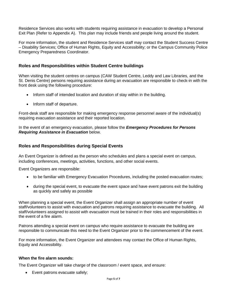Residence Services also works with students requiring assistance in evacuation to develop a Personal Exit Plan (Refer to Appendix A). This plan may include friends and people living around the student.

For more information, the student and Residence Services staff may contact the Student Success Centre – Disability Services; Office of Human Rights, Equity and Accessibility; or the Campus Community Police Emergency Preparedness Coordinator.

# <span id="page-4-0"></span>**Roles and Responsibilities within Student Centre buildings**

When visiting the student centres on campus (CAW Student Centre, Leddy and Law Libraries, and the St. Denis Centre) persons requiring assistance during an evacuation are responsible to check-in with the front desk using the following procedure:

- Inform staff of intended location and duration of stay within in the building.
- Inform staff of departure.

Front-desk staff are responsible for making emergency response personnel aware of the individual(s) requiring evacuation assistance and their reported location.

In the event of an emergency evacuation, please follow the *Emergency Procedures for Persons Requiring Assistance in Evacuation* below.

# <span id="page-4-1"></span>**Roles and Responsibilities during Special Events**

An Event Organizer is defined as the person who schedules and plans a special event on campus, including conferences, meetings, activities, functions, and other social events.

Event Organizers are responsible:

- to be familiar with Emergency Evacuation Procedures, including the posted evacuation routes;
- during the special event, to evacuate the event space and have event patrons exit the building as quickly and safely as possible

When planning a special event, the Event Organizer shall assign an appropriate number of event staff/volunteers to assist with evacuation and patrons requiring assistance to evacuate the building. All staff/volunteers assigned to assist with evacuation must be trained in their roles and responsibilities in the event of a fire alarm.

Patrons attending a special event on campus who require assistance to evacuate the building are responsible to communicate this need to the Event Organizer prior to the commencement of the event.

For more information, the Event Organizer and attendees may contact the Office of Human Rights, Equity and Accessibility.

#### **When the fire alarm sounds:**

The Event Organizer will take charge of the classroom / event space, and ensure:

• Event patrons evacuate safely;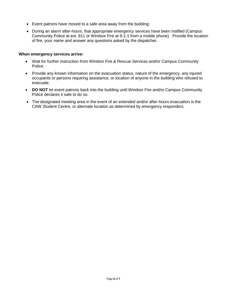- Event patrons have moved to a safe area away from the building;
- During an alarm after-hours, that appropriate emergency services have been notified (Campus Community Police at ext. 911 or Windsor Fire at 9-1-1 from a mobile phone). Provide the location of fire, your name and answer any questions asked by the dispatcher.

#### **When emergency services arrive:**

- Wait for further instruction from Windsor Fire & Rescue Services and/or Campus Community Police.
- Provide any known information on the evacuation status, nature of the emergency, any injured occupants or persons requiring assistance, or location of anyone in the building who refused to evacuate.
- DO NOT let event patrons back into the building until Windsor Fire and/or Campus Community Police declares it safe to do so.
- The designated meeting area in the event of an extended and/or after-hours evacuation is the CAW Student Centre, or alternate location as determined by emergency responders.